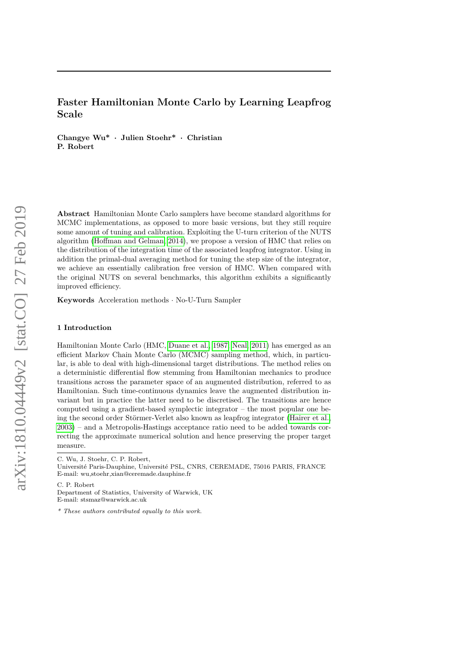# **Faster Hamiltonian Monte Carlo by Learning Leapfrog Scale**

**Changye Wu\* · Julien Stoehr\* · Christian P. Robert**

**Abstract** Hamiltonian Monte Carlo samplers have become standard algorithms for MCMC implementations, as opposed to more basic versions, but they still require some amount of tuning and calibration. Exploiting the U-turn criterion of the NUTS algorithm [\(Hoffman and Gelman, 2014\)](#page-16-0), we propose a version of HMC that relies on the distribution of the integration time of the associated leapfrog integrator. Using in addition the primal-dual averaging method for tuning the step size of the integrator, we achieve an essentially calibration free version of HMC. When compared with the original NUTS on several benchmarks, this algorithm exhibits a significantly improved efficiency.

**Keywords** Acceleration methods · No-U-Turn Sampler

## **1 Introduction**

Hamiltonian Monte Carlo (HMC, [Duane et al., 1987;](#page-16-1) [Neal, 2011\)](#page-16-2) has emerged as an efficient Markov Chain Monte Carlo (MCMC) sampling method, which, in particular, is able to deal with high-dimensional target distributions. The method relies on a deterministic differential flow stemming from Hamiltonian mechanics to produce transitions across the parameter space of an augmented distribution, referred to as Hamiltonian. Such time-continuous dynamics leave the augmented distribution invariant but in practice the latter need to be discretised. The transitions are hence computed using a gradient-based symplectic integrator – the most popular one being the second order Störmer-Verlet also known as leapfrog integrator [\(Hairer et al.,](#page-16-3) [2003\)](#page-16-3) – and a Metropolis-Hastings acceptance ratio need to be added towards correcting the approximate numerical solution and hence preserving the proper target measure.

C. P. Robert

Department of Statistics, University of Warwick, UK E-mail: stsmaz@warwick.ac.uk

C. Wu, J. Stoehr, C. P. Robert,

Université Paris-Dauphine, Université PSL, CNRS, CEREMADE, 75016 PARIS, FRANCE E-mail: wu,stoehr,xian@ceremade.dauphine.fr

*<sup>\*</sup> These authors contributed equally to this work.*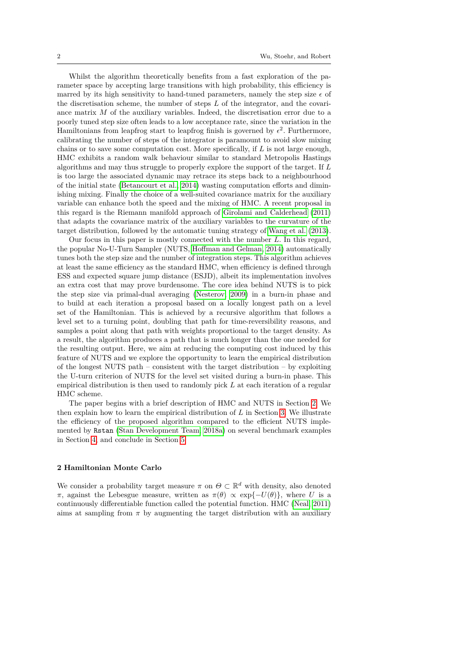Whilst the algorithm theoretically benefits from a fast exploration of the parameter space by accepting large transitions with high probability, this efficiency is marred by its high sensitivity to hand-tuned parameters, namely the step size  $\epsilon$  of the discretisation scheme, the number of steps *L* of the integrator, and the covariance matrix *M* of the auxiliary variables. Indeed, the discretisation error due to a poorly tuned step size often leads to a low acceptance rate, since the variation in the Hamiltonians from leapfrog start to leapfrog finish is governed by  $\epsilon^2$ . Furthermore, calibrating the number of steps of the integrator is paramount to avoid slow mixing chains or to save some computation cost. More specifically, if *L* is not large enough, HMC exhibits a random walk behaviour similar to standard Metropolis Hastings algorithms and may thus struggle to properly explore the support of the target. If *L* is too large the associated dynamic may retrace its steps back to a neighbourhood of the initial state [\(Betancourt et al., 2014\)](#page-15-0) wasting computation efforts and diminishing mixing. Finally the choice of a well-suited covariance matrix for the auxiliary variable can enhance both the speed and the mixing of HMC. A recent proposal in this regard is the Riemann manifold approach of [Girolami and Calderhead](#page-16-4) [\(2011\)](#page-16-4) that adapts the covariance matrix of the auxiliary variables to the curvature of the target distribution, followed by the automatic tuning strategy of [Wang et al.](#page-16-5) [\(2013\)](#page-16-5).

Our focus in this paper is mostly connected with the number *L*. In this regard, the popular No-U-Turn Sampler (NUTS, [Hoffman and Gelman, 2014\)](#page-16-0) automatically tunes both the step size and the number of integration steps. This algorithm achieves at least the same efficiency as the standard HMC, when efficiency is defined through ESS and expected square jump distance (ESJD), albeit its implementation involves an extra cost that may prove burdensome. The core idea behind NUTS is to pick the step size via primal-dual averaging [\(Nesterov, 2009\)](#page-16-6) in a burn-in phase and to build at each iteration a proposal based on a locally longest path on a level set of the Hamiltonian. This is achieved by a recursive algorithm that follows a level set to a turning point, doubling that path for time-reversibility reasons, and samples a point along that path with weights proportional to the target density. As a result, the algorithm produces a path that is much longer than the one needed for the resulting output. Here, we aim at reducing the computing cost induced by this feature of NUTS and we explore the opportunity to learn the empirical distribution of the longest NUTS path – consistent with the target distribution – by exploiting the U-turn criterion of NUTS for the level set visited during a burn-in phase. This empirical distribution is then used to randomly pick *L* at each iteration of a regular HMC scheme.

The paper begins with a brief description of HMC and NUTS in Section [2.](#page-1-0) We then explain how to learn the empirical distribution of *L* in Section [3.](#page-4-0) We illustrate the efficiency of the proposed algorithm compared to the efficient NUTS implemented by Rstan [\(Stan Development Team, 2018a\)](#page-16-7) on several benchmark examples in Section [4,](#page-7-0) and conclude in Section [5.](#page-15-1)

#### <span id="page-1-0"></span>**2 Hamiltonian Monte Carlo**

We consider a probability target measure  $\pi$  on  $\Theta \subset \mathbb{R}^d$  with density, also denoted *π*, against the Lebesgue measure, written as  $\pi(\theta) \propto \exp\{-U(\theta)\}\,$ , where *U* is a continuously differentiable function called the potential function. HMC [\(Neal, 2011\)](#page-16-2) aims at sampling from  $\pi$  by augmenting the target distribution with an auxiliary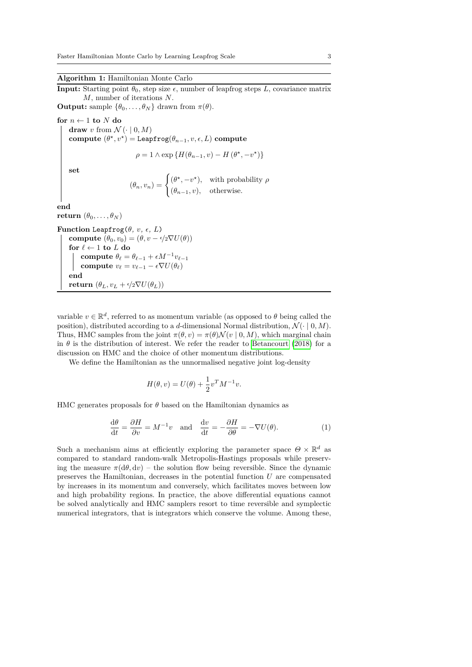## **Algorithm 1:** Hamiltonian Monte Carlo

<span id="page-2-0"></span>**Input:** Starting point  $\theta_0$ , step size  $\epsilon$ , number of leapfrog steps *L*, covariance matrix *M*, number of iterations *N*. **Output:** sample  $\{\theta_0, \ldots, \theta_N\}$  drawn from  $\pi(\theta)$ .

**for**  $n \leftarrow 1$  **to**  $N$  **do draw** *v* from  $\mathcal{N}(\cdot | 0, M)$ **compute**  $(\theta^*, v^*)$  = Leapfrog $(\theta_{n-1}, v, \epsilon, L)$  **compute**  $\rho = 1 \wedge \exp \{H(\theta_{n-1}, v) - H(\theta^*, -v^*)\}$ **set**  $(\theta_n, v_n) = \begin{cases} (\theta^*, -v^*), & \text{with probability } \rho \\ (0, 0, 0), & \text{otherwise} \end{cases}$ (*θn*−1*, v*)*,* otherwise*.* **end**

```
return (\theta_0, \ldots, \theta_N)Function Leapfrog(\theta, v, \epsilon, L)compute (\theta_0, v_0) = (\theta, v - \epsilon/2 \nabla U(\theta))for \ell \leftarrow 1 to L do
           compute \theta_{\ell} = \theta_{\ell-1} + \epsilon M^{-1} v_{\ell-1}compute v_{\ell} = v_{\ell-1} - \epsilon \nabla U(\theta_{\ell})end
```
**return**  $(\theta_L, v_L + \epsilon/2 \nabla U(\theta_L))$ 

variable  $v \in \mathbb{R}^d$ , referred to as momentum variable (as opposed to  $\theta$  being called the position), distributed according to a *d*-dimensional Normal distribution,  $\mathcal{N}(\cdot \mid 0, M)$ . Thus, HMC samples from the joint  $\pi(\theta, v) = \pi(\theta) \mathcal{N}(v \mid 0, M)$ , which marginal chain in  $\theta$  is the distribution of interest. We refer the reader to [Betancourt](#page-15-2) [\(2018\)](#page-15-2) for a discussion on HMC and the choice of other momentum distributions.

We define the Hamiltonian as the unnormalised negative joint log-density

$$
H(\theta, v) = U(\theta) + \frac{1}{2}v^T M^{-1} v.
$$

HMC generates proposals for *θ* based on the Hamiltonian dynamics as

<span id="page-2-1"></span>
$$
\frac{d\theta}{dt} = \frac{\partial H}{\partial v} = M^{-1}v \quad \text{and} \quad \frac{dv}{dt} = -\frac{\partial H}{\partial \theta} = -\nabla U(\theta). \tag{1}
$$

Such a mechanism aims at efficiently exploring the parameter space  $\Theta \times \mathbb{R}^d$  as compared to standard random-walk Metropolis-Hastings proposals while preserving the measure  $\pi(d\theta, dv)$  – the solution flow being reversible. Since the dynamic preserves the Hamiltonian, decreases in the potential function *U* are compensated by increases in its momentum and conversely, which facilitates moves between low and high probability regions. In practice, the above differential equations cannot be solved analytically and HMC samplers resort to time reversible and symplectic numerical integrators, that is integrators which conserve the volume. Among these,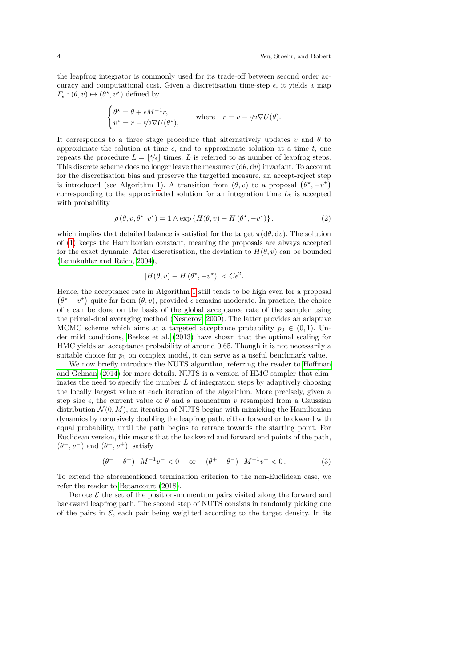the leapfrog integrator is commonly used for its trade-off between second order accuracy and computational cost. Given a discretisation time-step  $\epsilon$ , it yields a map  $F_{\epsilon}: (\theta, v) \mapsto (\theta^*, v^*)$  defined by

$$
\begin{cases} \theta^{\star} = \theta + \epsilon M^{-1} r, \\ v^{\star} = r - \epsilon/2 \nabla U(\theta^{\star}), \end{cases}
$$
 where  $r = v - \epsilon/2 \nabla U(\theta)$ .

It corresponds to a three stage procedure that alternatively updates *v* and  $\theta$  to approximate the solution at time  $\epsilon$ , and to approximate solution at a time  $t$ , one repeats the procedure  $L = |t/\epsilon|$  times. *L* is referred to as number of leapfrog steps. This discrete scheme does no longer leave the measure *π*(d*θ,* d*v*) invariant. To account for the discretisation bias and preserve the targetted measure, an accept-reject step is introduced (see Algorithm [1\)](#page-2-0). A transition from  $(\theta, v)$  to a proposal  $(\theta^*, -v^*)$ corresponding to the approximated solution for an integration time  $L\epsilon$  is accepted with probability

<span id="page-3-1"></span>
$$
\rho(\theta, v, \theta^*, v^*) = 1 \wedge \exp\left\{H(\theta, v) - H(\theta^*, -v^*)\right\}.
$$
\n(2)

which implies that detailed balance is satisfied for the target  $\pi(d\theta, d\nu)$ . The solution of [\(1\)](#page-2-1) keeps the Hamiltonian constant, meaning the proposals are always accepted for the exact dynamic. After discretisation, the deviation to  $H(\theta, v)$  can be bounded [\(Leimkuhler and Reich, 2004\)](#page-16-8),

$$
|H(\theta, v) - H(\theta^*, -v^*)| < C\epsilon^2.
$$

Hence, the acceptance rate in Algorithm [1](#page-2-0) still tends to be high even for a proposal  $(\theta^*, -v^*)$  quite far from  $(\theta, v)$ , provided  $\epsilon$  remains moderate. In practice, the choice of  $\epsilon$  can be done on the basis of the global acceptance rate of the sampler using the primal-dual averaging method [\(Nesterov, 2009\)](#page-16-6). The latter provides an adaptive MCMC scheme which aims at a targeted acceptance probability  $p_0 \in (0,1)$ . Under mild conditions, [Beskos et al.](#page-15-3) [\(2013\)](#page-15-3) have shown that the optimal scaling for HMC yields an acceptance probability of around 0*.*65. Though it is not necessarily a suitable choice for  $p_0$  on complex model, it can serve as a useful benchmark value.

We now briefly introduce the NUTS algorithm, referring the reader to [Hoffman](#page-16-0) [and Gelman](#page-16-0) [\(2014\)](#page-16-0) for more details. NUTS is a version of HMC sampler that eliminates the need to specify the number *L* of integration steps by adaptively choosing the locally largest value at each iteration of the algorithm. More precisely, given a step size  $\epsilon$ , the current value of  $\theta$  and a momentum v resampled from a Gaussian distribution  $\mathcal{N}(0, M)$ , an iteration of NUTS begins with mimicking the Hamiltonian dynamics by recursively doubling the leapfrog path, either forward or backward with equal probability, until the path begins to retrace towards the starting point. For Euclidean version, this means that the backward and forward end points of the path,  $(\theta^-, v^-)$  and  $(\theta^+, v^+)$ , satisfy

<span id="page-3-0"></span>
$$
(\theta^+ - \theta^-) \cdot M^{-1} v^- < 0 \quad \text{or} \quad (\theta^+ - \theta^-) \cdot M^{-1} v^+ < 0. \tag{3}
$$

To extend the aforementioned termination criterion to the non-Euclidean case, we refer the reader to [Betancourt](#page-15-2) [\(2018\)](#page-15-2).

Denote  $\mathcal E$  the set of the position-momentum pairs visited along the forward and backward leapfrog path. The second step of NUTS consists in randomly picking one of the pairs in  $\mathcal{E}$ , each pair being weighted according to the target density. In its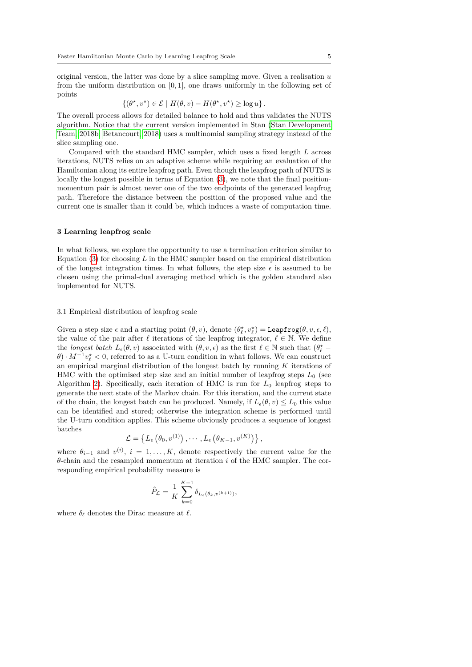original version, the latter was done by a slice sampling move. Given a realisation *u* from the uniform distribution on [0*,* 1], one draws uniformly in the following set of points

$$
\{(\theta^{\star}, v^{\star}) \in \mathcal{E} \mid H(\theta, v) - H(\theta^{\star}, v^{\star}) \ge \log u\}.
$$

The overall process allows for detailed balance to hold and thus validates the NUTS algorithm. Notice that the current version implemented in Stan [\(Stan Development](#page-16-9) [Team, 2018b;](#page-16-9) [Betancourt, 2018\)](#page-15-2) uses a multinomial sampling strategy instead of the slice sampling one.

Compared with the standard HMC sampler, which uses a fixed length *L* across iterations, NUTS relies on an adaptive scheme while requiring an evaluation of the Hamiltonian along its entire leapfrog path. Even though the leapfrog path of NUTS is locally the longest possible in terms of Equation [\(3\)](#page-3-0), we note that the final positionmomentum pair is almost never one of the two endpoints of the generated leapfrog path. Therefore the distance between the position of the proposed value and the current one is smaller than it could be, which induces a waste of computation time.

#### <span id="page-4-0"></span>**3 Learning leapfrog scale**

In what follows, we explore the opportunity to use a termination criterion similar to Equation [\(3\)](#page-3-0) for choosing *L* in the HMC sampler based on the empirical distribution of the longest integration times. In what follows, the step size  $\epsilon$  is assumed to be chosen using the primal-dual averaging method which is the golden standard also implemented for NUTS.

## 3.1 Empirical distribution of leapfrog scale

Given a step size  $\epsilon$  and a starting point  $(\theta, v)$ , denote  $(\theta_{\ell}^{\star}, v_{\ell}^{\star}) = \text{Leapfrog}(\theta, v, \epsilon, \ell)$ , the value of the pair after  $\ell$  iterations of the leapfrog integrator,  $\ell \in \mathbb{N}$ . We define the *longest batch*  $L_{\epsilon}(\theta, v)$  associated with  $(\theta, v, \epsilon)$  as the first  $\ell \in \mathbb{N}$  such that  $(\theta_{\ell}^{*} - \epsilon)$  $\theta$ ) ·  $M^{-1}v^*_{\ell}$  < 0, referred to as a U-turn condition in what follows. We can construct an empirical marginal distribution of the longest batch by running *K* iterations of HMC with the optimised step size and an initial number of leapfrog steps *L*<sup>0</sup> (see Algorithm [2\)](#page-5-0). Specifically, each iteration of HMC is run for  $L_0$  leapfrog steps to generate the next state of the Markov chain. For this iteration, and the current state of the chain, the longest batch can be produced. Namely, if  $L_{\epsilon}(\theta, v) \leq L_0$  this value can be identified and stored; otherwise the integration scheme is performed until the U-turn condition applies. This scheme obviously produces a sequence of longest batches

$$
\mathcal{L} = \left\{ L_{\epsilon} \left( \theta_0, v^{(1)} \right), \cdots, L_{\epsilon} \left( \theta_{K-1}, v^{(K)} \right) \right\},\
$$

where  $\theta_{i-1}$  and  $v^{(i)}$ ,  $i = 1, ..., K$ , denote respectively the current value for the *θ*-chain and the resampled momentum at iteration *i* of the HMC sampler. The corresponding empirical probability measure is

$$
\hat{P}_{\mathcal{L}} = \frac{1}{K} \sum_{k=0}^{K-1} \delta_{L_{\epsilon}(\theta_k, v^{(k+1)})},
$$

where  $\delta_{\ell}$  denotes the Dirac measure at  $\ell$ .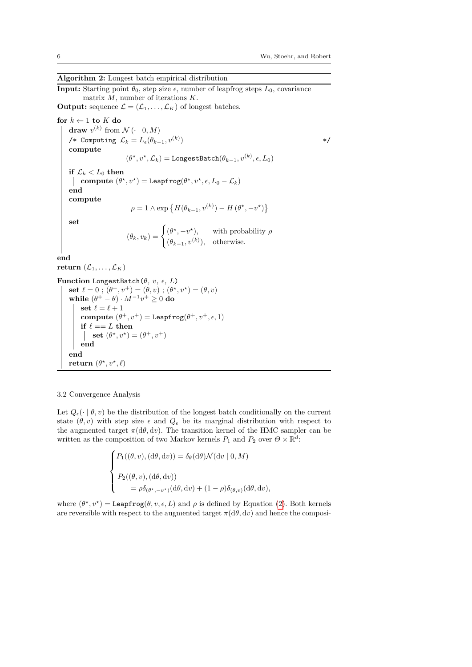## **Algorithm 2:** Longest batch empirical distribution

<span id="page-5-0"></span>**Input:** Starting point  $\theta_0$ , step size  $\epsilon$ , number of leapfrog steps  $L_0$ , covariance matrix *M*, number of iterations *K*. **Output:** sequence  $\mathcal{L} = (\mathcal{L}_1, \dots, \mathcal{L}_K)$  of longest batches. **for**  $k \leftarrow 1$  **to**  $K$  **do draw**  $v^{(k)}$  from  $\mathcal{N}(\cdot | 0, M)$  $\mathcal{L}_k$  Computing  $\mathcal{L}_k = L_ε(\theta_{k-1}, v^{(k)})$ ) and the set of  $\ast/$ **compute**  $(\theta^{\star}, v^{\star}, \mathcal{L}_k) =$  LongestBatch $(\theta_{k-1}, v^{(k)}, \epsilon, L_0)$ **if**  $\mathcal{L}_k < L_0$  **then compute**  $(\theta^*, v^*)$  = Leapfrog $(\theta^*, v^*, \epsilon, L_0 - \mathcal{L}_k)$ **end compute**  $\rho = 1 \wedge \exp \left\{ H(\theta_{k-1}, v^{(k)}) - H(\theta^{\star}, -v^{\star}) \right\}$ **set**  $(\theta_k, v_k) = \begin{cases} (\theta^*, -v^*), & \text{with probability } \rho \\ (e^{(\theta^*)}, v_k) & \text{with probability } \rho \end{cases}$  $(\theta_{k-1}, v^{(k)}), \text{ otherwise.}$ **end return**  $(\mathcal{L}_1, \ldots, \mathcal{L}_K)$ **Function** LongestBatch( $\theta$ *, v<sub></sub>,*  $\epsilon$ *, L*) **set**  $\ell = 0$ ;  $(\theta^+, v^+) = (\theta, v)$ ;  $(\theta^*, v^*) = (\theta, v)$ **while**  $(\theta^+ - \theta) \cdot M^{-1}v^+ \ge 0$  **do** set  $\ell = \ell + 1$ **compute**  $(\theta^+, v^+) = \text{Leapfrog}(\theta^+, v^+, \epsilon, 1)$ **if**  $\ell == L$  **then set**  $(\theta^*, v^*) = (\theta^+, v^+)$ **end end**

3.2 Convergence Analysis

**return**  $(\theta^*, v^*, \ell)$ 

Let  $Q_{\epsilon}(\cdot | \theta, v)$  be the distribution of the longest batch conditionally on the current state  $(\theta, v)$  with step size  $\epsilon$  and  $Q_{\epsilon}$  be its marginal distribution with respect to the augmented target  $\pi(d\theta, dv)$ . The transition kernel of the HMC sampler can be written as the composition of two Markov kernels  $P_1$  and  $P_2$  over  $\Theta \times \mathbb{R}^d$ .

$$
\begin{cases}\nP_1((\theta, v), (\mathrm{d}\theta, \mathrm{d}v)) = \delta_\theta(\mathrm{d}\theta)\mathcal{N}(\mathrm{d}v \mid 0, M) \\
P_2((\theta, v), (\mathrm{d}\theta, \mathrm{d}v)) \\
= \rho \delta_{(\theta^*, -v^*)}(\mathrm{d}\theta, \mathrm{d}v) + (1 - \rho)\delta_{(\theta, v)}(\mathrm{d}\theta, \mathrm{d}v),\n\end{cases}
$$

where  $(\theta^*, v^*) = \text{Leapfrog}(\theta, v, \epsilon, L)$  and  $\rho$  is defined by Equation [\(2\)](#page-3-1). Both kernels are reversible with respect to the augmented target  $\pi(d\theta, dv)$  and hence the composi-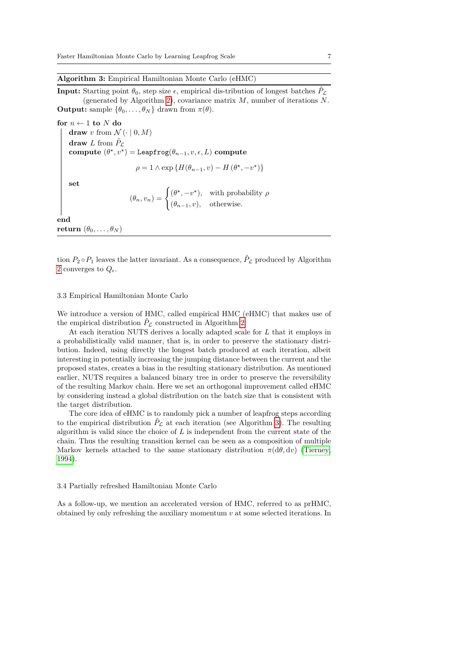## **Algorithm 3:** Empirical Hamiltonian Monte Carlo (eHMC)

<span id="page-6-0"></span>**Input:** Starting point  $\theta_0$ , step size  $\epsilon$ , empirical dis-tribution of longest batches  $\hat{P}_\mathcal{L}$ (generated by Algorithm [2\)](#page-5-0), covariance matrix *M*, number of iterations *N*. **Output:** sample  $\{\theta_0, \ldots, \theta_N\}$  drawn from  $\pi(\theta)$ .

for  $n \leftarrow 1$  to  $N$  do **draw** *v* from  $\mathcal{N}(\cdot | 0, M)$ **draw** *L* from  $\hat{P}_\mathcal{L}$ **compute**  $(\theta^*, v^*) =$ Leapfrog $(\theta_{n-1}, v, \epsilon, L)$  **compute**  $\rho = 1 \wedge \exp \{H(\theta_{n-1}, v) - H(\theta^*, -v^*)\}$ **set**  $(\theta_n, v_n) = \begin{cases} (\theta^*, -v^*), & \text{with probability } \rho \\ (0, 0, 0), & \text{otherwise} \end{cases}$ (*θn*−1*, v*)*,* otherwise*.* **end**

**return**  $(\theta_0, \ldots, \theta_N)$ 

tion  $P_2 \circ P_1$  leaves the latter invariant. As a consequence,  $\hat{P}_\mathcal{L}$  produced by Algorithm [2](#page-5-0) converges to  $Q_{\epsilon}$ .

#### 3.3 Empirical Hamiltonian Monte Carlo

We introduce a version of HMC, called empirical HMC (eHMC) that makes use of the empirical distribution  $\hat{P}_\mathcal{L}$  constructed in Algorithm [2.](#page-5-0)

At each iteration NUTS derives a locally adapted scale for *L* that it employs in a probabilistically valid manner, that is, in order to preserve the stationary distribution. Indeed, using directly the longest batch produced at each iteration, albeit interesting in potentially increasing the jumping distance between the current and the proposed states, creates a bias in the resulting stationary distribution. As mentioned earlier, NUTS requires a balanced binary tree in order to preserve the reversibility of the resulting Markov chain. Here we set an orthogonal improvement called eHMC by considering instead a global distribution on the batch size that is consistent with the target distribution.

The core idea of eHMC is to randomly pick a number of leapfrog steps according to the empirical distribution  $\hat{P}_\mathcal{L}$  at each iteration (see Algorithm [3\)](#page-6-0). The resulting algorithm is valid since the choice of *L* is independent from the current state of the chain. Thus the resulting transition kernel can be seen as a composition of multiple Markov kernels attached to the same stationary distribution  $\pi(d\theta, dv)$  [\(Tierney,](#page-16-10) [1994\)](#page-16-10).

#### 3.4 Partially refreshed Hamiltonian Monte Carlo

As a follow-up, we mention an accelerated version of HMC, referred to as prHMC, obtained by only refreshing the auxiliary momentum *v* at some selected iterations. In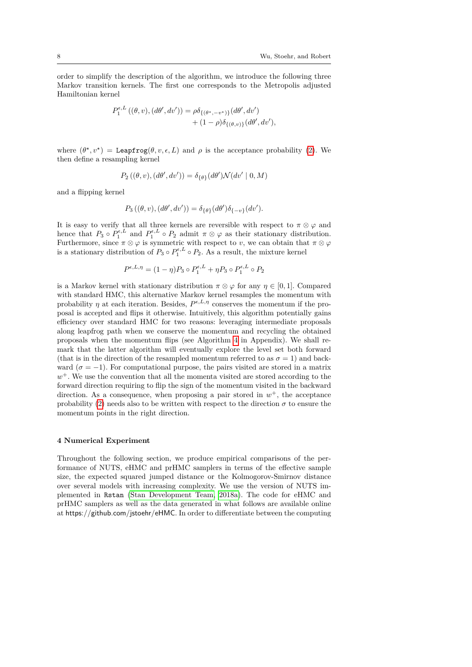order to simplify the description of the algorithm, we introduce the following three Markov transition kernels. The first one corresponds to the Metropolis adjusted Hamiltonian kernel

$$
P_1^{\epsilon, L}((\theta, v), (d\theta', dv')) = \rho \delta_{\{(\theta^*, -v^*)\}}(d\theta', dv') + (1 - \rho) \delta_{\{(\theta, v)\}}(d\theta', dv'),
$$

where  $(\theta^*, v^*)$  = Leapfrog $(\theta, v, \epsilon, L)$  and  $\rho$  is the acceptance probability [\(2\)](#page-3-1). We then define a resampling kernel

$$
P_2((\theta, v), (d\theta', dv')) = \delta_{\{\theta\}}(d\theta') \mathcal{N}(dv' | 0, M)
$$

and a flipping kernel

$$
P_3((\theta, v), (d\theta', dv')) = \delta_{\{\theta\}}(d\theta')\delta_{\{-v\}}(dv').
$$

It is easy to verify that all three kernels are reversible with respect to  $\pi \otimes \varphi$  and hence that  $P_3 \circ P_1^{\epsilon, L}$  and  $P_1^{\epsilon, L} \circ P_2$  admit  $\pi \otimes \varphi$  as their stationary distribution. Furthermore, since  $\pi \otimes \varphi$  is symmetric with respect to *v*, we can obtain that  $\pi \otimes \varphi$ is a stationary distribution of  $P_3 \circ P_1^{\epsilon,L} \circ P_2$ . As a result, the mixture kernel

$$
P^{\epsilon,L,\eta} = (1-\eta)P_3 \circ P_1^{\epsilon,L} + \eta P_3 \circ P_1^{\epsilon,L} \circ P_2
$$

is a Markov kernel with stationary distribution  $\pi \otimes \varphi$  for any  $\eta \in [0, 1]$ . Compared with standard HMC, this alternative Markov kernel resamples the momentum with probability  $\eta$  at each iteration. Besides,  $P^{\epsilon,L,\eta}$  conserves the momentum if the proposal is accepted and flips it otherwise. Intuitively, this algorithm potentially gains efficiency over standard HMC for two reasons: leveraging intermediate proposals along leapfrog path when we conserve the momentum and recycling the obtained proposals when the momentum flips (see Algorithm [4](#page-17-0) in Appendix). We shall remark that the latter algorithm will eventually explore the level set both forward (that is in the direction of the resampled momentum referred to as  $\sigma = 1$ ) and backward ( $\sigma = -1$ ). For computational purpose, the pairs visited are stored in a matrix *w* <sup>+</sup>. We use the convention that all the momenta visited are stored according to the forward direction requiring to flip the sign of the momentum visited in the backward direction. As a consequence, when proposing a pair stored in  $w^+$ , the acceptance probability [\(2\)](#page-3-1) needs also to be written with respect to the direction  $\sigma$  to ensure the momentum points in the right direction.

#### <span id="page-7-0"></span>**4 Numerical Experiment**

Throughout the following section, we produce empirical comparisons of the performance of NUTS, eHMC and prHMC samplers in terms of the effective sample size, the expected squared jumped distance or the Kolmogorov-Smirnov distance over several models with increasing complexity. We use the version of NUTS implemented in Rstan [\(Stan Development Team, 2018a\)](#page-16-7). The code for eHMC and prHMC samplers as well as the data generated in what follows are available online at https://github.com/jstoehr/eHMC. In order to differentiate between the computing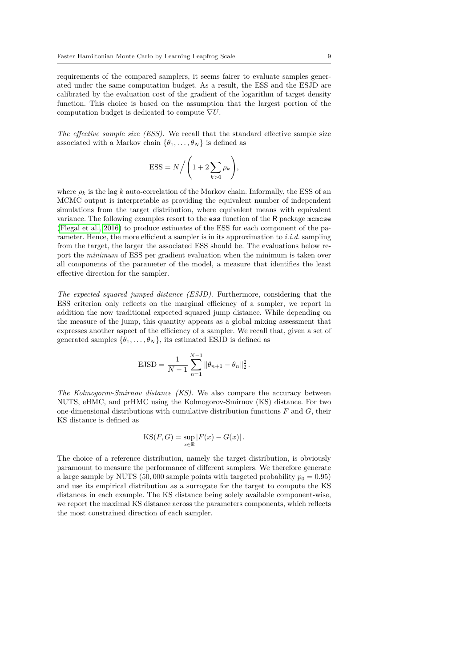requirements of the compared samplers, it seems fairer to evaluate samples generated under the same computation budget. As a result, the ESS and the ESJD are calibrated by the evaluation cost of the gradient of the logarithm of target density function. This choice is based on the assumption that the largest portion of the computation budget is dedicated to compute ∇*U*.

*The effective sample size (ESS).* We recall that the standard effective sample size associated with a Markov chain  $\{\theta_1, \ldots, \theta_N\}$  is defined as

$$
\text{ESS} = N / \left( 1 + 2 \sum_{k > 0} \rho_k \right),
$$

where  $\rho_k$  is the lag *k* auto-correlation of the Markov chain. Informally, the ESS of an MCMC output is interpretable as providing the equivalent number of independent simulations from the target distribution, where equivalent means with equivalent variance. The following examples resort to the ess function of the R package mcmcse [\(Flegal et al., 2016\)](#page-16-11) to produce estimates of the ESS for each component of the parameter. Hence, the more efficient a sampler is in its approximation to *i.i.d.* sampling from the target, the larger the associated ESS should be. The evaluations below report the *minimum* of ESS per gradient evaluation when the minimum is taken over all components of the parameter of the model, a measure that identifies the least effective direction for the sampler.

*The expected squared jumped distance (ESJD).* Furthermore, considering that the ESS criterion only reflects on the marginal efficiency of a sampler, we report in addition the now traditional expected squared jump distance. While depending on the measure of the jump, this quantity appears as a global mixing assessment that expresses another aspect of the efficiency of a sampler. We recall that, given a set of generated samples  $\{\theta_1, \ldots, \theta_N\}$ , its estimated ESJD is defined as

$$
\text{EJSD} = \frac{1}{N-1} \sum_{n=1}^{N-1} \|\theta_{n+1} - \theta_n\|_2^2 \,.
$$

*The Kolmogorov-Smirnov distance (KS).* We also compare the accuracy between NUTS, eHMC, and prHMC using the Kolmogorov-Smirnov (KS) distance. For two one-dimensional distributions with cumulative distribution functions *F* and *G*, their KS distance is defined as

$$
KS(F, G) = \sup_{x \in \mathbb{R}} |F(x) - G(x)|.
$$

The choice of a reference distribution, namely the target distribution, is obviously paramount to measure the performance of different samplers. We therefore generate a large sample by NUTS (50,000 sample points with targeted probability  $p_0 = 0.95$ ) and use its empirical distribution as a surrogate for the target to compute the KS distances in each example. The KS distance being solely available component-wise, we report the maximal KS distance across the parameters components, which reflects the most constrained direction of each sampler.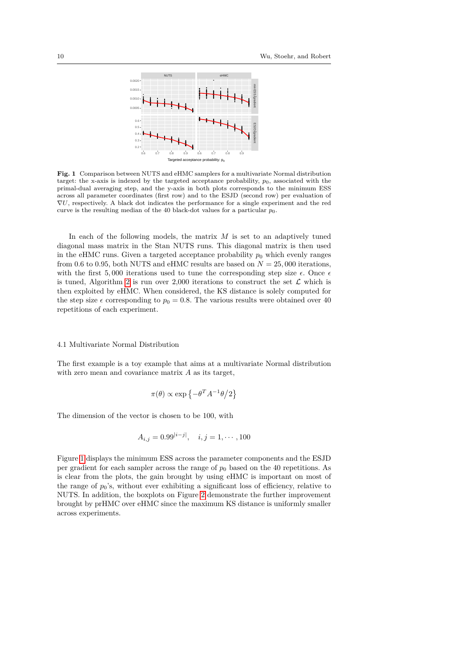

<span id="page-9-0"></span>**Fig. 1** Comparison between NUTS and eHMC samplers for a multivariate Normal distribution target: the x-axis is indexed by the targeted acceptance probability,  $p_0$ , associated with the primal-dual averaging step, and the y-axis in both plots corresponds to the minimum ESS across all parameter coordinates (first row) and to the ESJD (second row) per evaluation of ∇*U*, respectively. A black dot indicates the performance for a single experiment and the red curve is the resulting median of the 40 black-dot values for a particular  $p_0$ .

In each of the following models, the matrix *M* is set to an adaptively tuned diagonal mass matrix in the Stan NUTS runs. This diagonal matrix is then used in the eHMC runs. Given a targeted acceptance probability  $p_0$  which evenly ranges from 0.6 to 0.95, both NUTS and eHMC results are based on  $N = 25,000$  iterations, with the first 5,000 iterations used to tune the corresponding step size  $\epsilon$ . Once  $\epsilon$ is tuned, Algorithm [2](#page-5-0) is run over 2,000 iterations to construct the set  $\mathcal L$  which is then exploited by eHMC. When considered, the KS distance is solely computed for the step size  $\epsilon$  corresponding to  $p_0 = 0.8$ . The various results were obtained over 40 repetitions of each experiment.

#### 4.1 Multivariate Normal Distribution

The first example is a toy example that aims at a multivariate Normal distribution with zero mean and covariance matrix *A* as its target,

$$
\pi(\theta) \propto \exp\left\{-\theta^T A^{-1} \theta/2\right\}
$$

The dimension of the vector is chosen to be 100, with

$$
A_{i,j} = 0.99^{|i-j|}, \quad i, j = 1, \cdots, 100
$$

Figure [1](#page-9-0) displays the minimum ESS across the parameter components and the ESJD per gradient for each sampler across the range of  $p_0$  based on the 40 repetitions. As is clear from the plots, the gain brought by using eHMC is important on most of the range of  $p_0$ 's, without ever exhibiting a significant loss of efficiency, relative to NUTS. In addition, the boxplots on Figure [2](#page-10-0) demonstrate the further improvement brought by prHMC over eHMC since the maximum KS distance is uniformly smaller across experiments.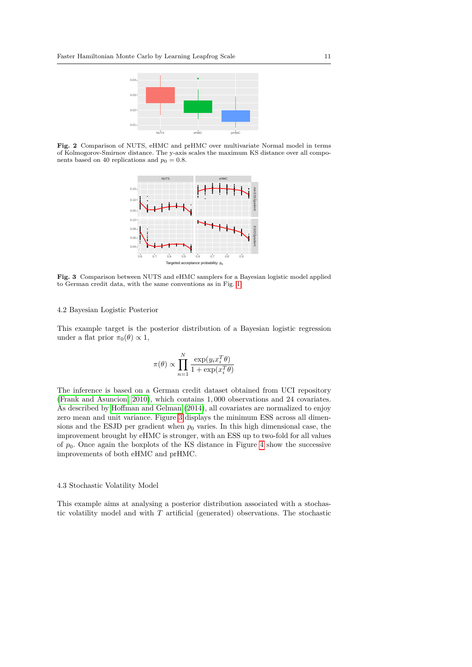

<span id="page-10-0"></span>**Fig. 2** Comparison of NUTS, eHMC and prHMC over multivariate Normal model in terms of Kolmogorov-Smirnov distance. The y-axis scales the maximum KS distance over all components based on 40 replications and  $p_0 = 0.8$ .



<span id="page-10-1"></span>**Fig. 3** Comparison between NUTS and eHMC samplers for a Bayesian logistic model applied to German credit data, with the same conventions as in Fig. [1.](#page-9-0)

#### 4.2 Bayesian Logistic Posterior

This example target is the posterior distribution of a Bayesian logistic regression under a flat prior  $\pi_0(\theta) \propto 1$ ,

$$
\pi(\theta) \propto \prod_{n=1}^{N} \frac{\exp(y_i x_i^T \theta)}{1 + \exp(x_i^T \theta)}
$$

The inference is based on a German credit dataset obtained from UCI repository [\(Frank and Asuncion, 2010\)](#page-16-12), which contains 1*,* 000 observations and 24 covariates. As described by [Hoffman and Gelman](#page-16-0) [\(2014\)](#page-16-0), all covariates are normalized to enjoy zero mean and unit variance. Figure [3](#page-10-1) displays the minimum ESS across all dimensions and the ESJD per gradient when  $p_0$  varies. In this high dimensional case, the improvement brought by eHMC is stronger, with an ESS up to two-fold for all values of  $p_0$ . Once again the boxplots of the KS distance in Figure [4](#page-11-0) show the successive improvements of both eHMC and prHMC.

## 4.3 Stochastic Volatility Model

This example aims at analysing a posterior distribution associated with a stochastic volatility model and with *T* artificial (generated) observations. The stochastic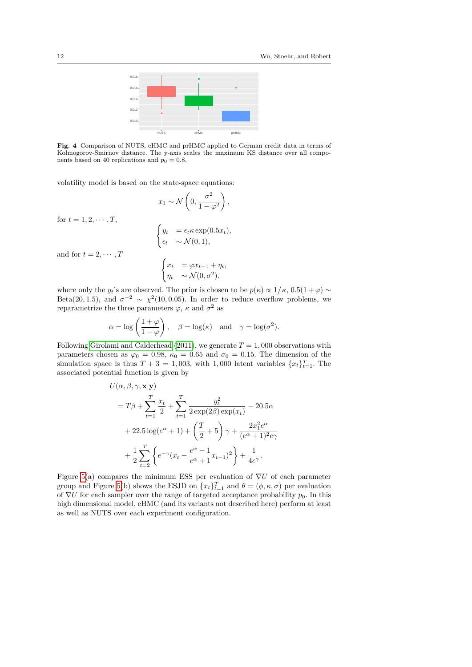

<span id="page-11-0"></span>**Fig. 4** Comparison of NUTS, eHMC and prHMC applied to German credit data in terms of Kolmogorov-Smirnov distance. The y-axis scales the maximum KS distance over all components based on 40 replications and  $p_0 = 0.8$ .

*,*

volatility model is based on the state-space equations:

$$
x_1 \sim \mathcal{N}\left(0, \frac{\sigma^2}{1 - \varphi^2}\right),
$$

$$
\begin{cases} y_t &= \epsilon_t \kappa \exp(0.5x_t), \\ \epsilon_t & \sim \mathcal{N}(0, 1), \end{cases}
$$

for  $t = 1, 2, \cdots, T$ ,

and for 
$$
t = 2, \dots, T
$$

$$
\begin{cases} x_t &= \varphi x_{t-1} + \eta_t, \\ \eta_t & \sim \mathcal{N}(0, \sigma^2). \end{cases}
$$

where only the  $y_t$ 's are observed. The prior is chosen to be  $p(\kappa) \propto 1/\kappa$ ,  $0.5(1+\varphi) \sim$ Beta(20, 1.5), and  $\sigma^{-2} \sim \chi^2(10, 0.05)$ . In order to reduce overflow problems, we reparametrize the three parameters  $\varphi$ ,  $\kappa$  and  $\sigma^2$  as

$$
\alpha = \log \left( \frac{1+\varphi}{1-\varphi} \right), \quad \beta = \log(\kappa) \text{ and } \gamma = \log(\sigma^2).
$$

Following [Girolami and Calderhead](#page-16-4) [\(2011\)](#page-16-4), we generate  $T = 1,000$  observations with parameters chosen as  $\varphi_0 = 0.98$ ,  $\kappa_0 = 0.65$  and  $\sigma_0 = 0.15$ . The dimension of the simulation space is thus  $T + 3 = 1,003$ , with 1,000 latent variables  $\{x_t\}_{t=1}^T$ . The associated potential function is given by

$$
U(\alpha, \beta, \gamma, \mathbf{x}|\mathbf{y})
$$
  
=  $T\beta + \sum_{t=1}^{T} \frac{x_t}{2} + \sum_{t=1}^{T} \frac{y_t^2}{2 \exp(2\beta) \exp(x_t)} - 20.5\alpha$   
+  $22.5 \log(e^{\alpha} + 1) + \left(\frac{T}{2} + 5\right) \gamma + \frac{2x_1^2 e^{\alpha}}{(e^{\alpha} + 1)^2 e \gamma}$   
+  $\frac{1}{2} \sum_{t=2}^{T} \left\{ e^{-\gamma} (x_t - \frac{e^{\alpha} - 1}{e^{\alpha} + 1} x_{t-1})^2 \right\} + \frac{1}{4e^{\gamma}}.$ 

Figure [5\(](#page-12-0)a) compares the minimum ESS per evaluation of ∇*U* of each parameter group and Figure [5\(](#page-12-0)b) shows the ESJD on  $\{x_t\}_{t=1}^T$  and  $\theta = (\phi, \kappa, \sigma)$  per evaluation of  $\nabla U$  for each sampler over the range of targeted acceptance probability  $p_0$ . In this high dimensional model, eHMC (and its variants not described here) perform at least as well as NUTS over each experiment configuration.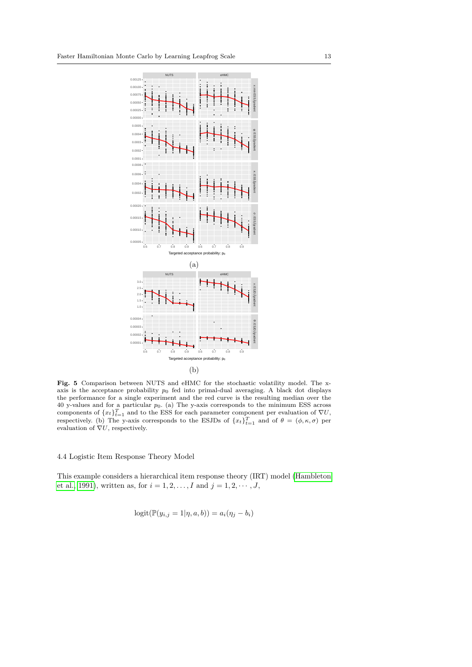

<span id="page-12-0"></span>**Fig. 5** Comparison between NUTS and eHMC for the stochastic volatility model. The xaxis is the acceptance probability *p*<sup>0</sup> fed into primal-dual averaging. A black dot displays the performance for a single experiment and the red curve is the resulting median over the 40 y-values and for a particular *p*0. (a) The y-axis corresponds to the minimum ESS across components of  ${x_t}_{t=1}^T$  and to the ESS for each parameter component per evaluation of  $\nabla U$ , respectively. (b) The y-axis corresponds to the ESJDs of  ${x_t}_{t=1}^T$  and of  $\theta = (\phi, \kappa, \sigma)$  per evaluation of  $\nabla U$ , respectively.

4.4 Logistic Item Response Theory Model

This example considers a hierarchical item response theory (IRT) model [\(Hambleton](#page-16-13) [et al., 1991\)](#page-16-13), written as, for  $i = 1, 2, ..., I$  and  $j = 1, 2, ..., J$ ,

$$
logit(\mathbb{P}(y_{i,j} = 1 | \eta, a, b)) = a_i(\eta_j - b_i)
$$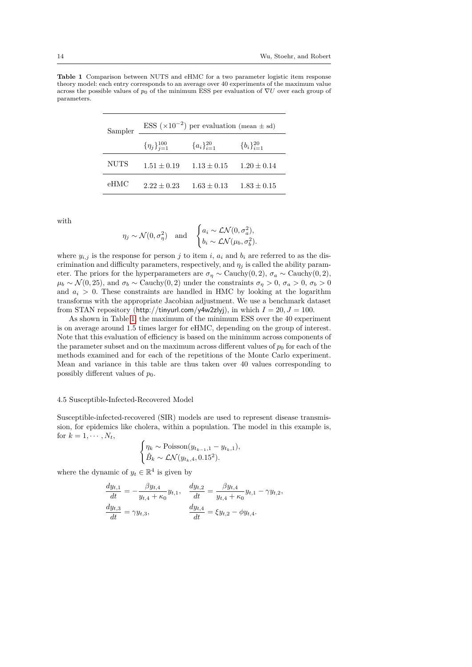<span id="page-13-0"></span>**Table 1** Comparison between NUTS and eHMC for a two parameter logistic item response theory model: each entry corresponds to an average over 40 experiments of the maximum value across the possible values of  $p_0$  of the minimum ESS per evaluation of  $\nabla U$  over each group of parameters.

| Sampler     | ESS $(\times 10^{-2})$ per evaluation (mean $\pm$ sd) |                    |                    |  |  |
|-------------|-------------------------------------------------------|--------------------|--------------------|--|--|
|             | $\{\eta_i\}_{i=1}^{100}$                              | ${a_i}_{i=1}^{20}$ | ${b_i}_{i=1}^{20}$ |  |  |
| <b>NUTS</b> | $1.51 \pm 0.19$                                       | $1.13 \pm 0.15$    | $1.20 \pm 0.14$    |  |  |
| eHMC        | $2.22 + 0.23$                                         | $1.63 \pm 0.13$    | $1.83 \pm 0.15$    |  |  |

with

$$
\eta_j \sim \mathcal{N}(0, \sigma_\eta^2)
$$
 and  $\begin{cases}\na_i \sim \mathcal{LN}(0, \sigma_a^2), \\
b_i \sim \mathcal{LN}(\mu_b, \sigma_b^2).\n\end{cases}$ 

where  $y_{i,j}$  is the response for person *j* to item *i*,  $a_i$  and  $b_i$  are referred to as the discrimination and difficulty parameters, respectively, and  $\eta_j$  is called the ability parameter. The priors for the hyperparameters are  $\sigma_{\eta} \sim$  Cauchy(0, 2),  $\sigma_{a} \sim$  Cauchy(0, 2),  $\mu_b \sim \mathcal{N}(0, 25)$ , and  $\sigma_b \sim$  Cauchy(0, 2) under the constraints  $\sigma_n > 0$ ,  $\sigma_a > 0$ ,  $\sigma_b > 0$ and  $a_i > 0$ . These constraints are handled in HMC by looking at the logarithm transforms with the appropriate Jacobian adjustment. We use a benchmark dataset from STAN repository (http://tinyurl.com/y4w2zlyj), in which  $I = 20, J = 100$ .

As shown in Table [1,](#page-13-0) the maximum of the minimum ESS over the 40 experiment is on average around 1.5 times larger for eHMC, depending on the group of interest. Note that this evaluation of efficiency is based on the minimum across components of the parameter subset and on the maximum across different values of  $p_0$  for each of the methods examined and for each of the repetitions of the Monte Carlo experiment. Mean and variance in this table are thus taken over 40 values corresponding to possibly different values of  $p_0$ .

#### 4.5 Susceptible-Infected-Recovered Model

Susceptible-infected-recovered (SIR) models are used to represent disease transmission, for epidemics like cholera, within a population. The model in this example is, for  $k = 1, \cdots, N_t$ ,

$$
\begin{cases} \eta_k \sim \text{Poisson}(y_{t_{k-1},1} - y_{t_k,1}), \\ \hat{B}_k \sim \mathcal{LN}(y_{t_k,4}, 0.15^2). \end{cases}
$$

where the dynamic of  $y_t \in \mathbb{R}^4$  is given by

$$
\frac{dy_{t,1}}{dt} = -\frac{\beta y_{t,4}}{y_{t,4} + \kappa_0} y_{t,1}, \quad \frac{dy_{t,2}}{dt} = \frac{\beta y_{t,4}}{y_{t,4} + \kappa_0} y_{t,1} - \gamma y_{t,2},
$$

$$
\frac{dy_{t,3}}{dt} = \gamma y_{t,3}, \qquad \frac{dy_{t,4}}{dt} = \xi y_{t,2} - \phi y_{t,4}.
$$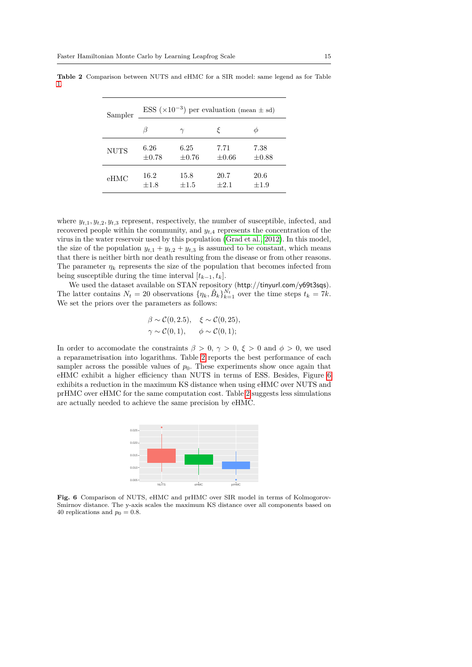| Sampler     |            |            | ESS $(\times 10^{-3})$ per evaluation (mean $\pm$ sd) |            |  |
|-------------|------------|------------|-------------------------------------------------------|------------|--|
|             |            | $\gamma$   |                                                       | Φ          |  |
| <b>NUTS</b> | 6.26       | 6.25       | 7.71                                                  | 7.38       |  |
|             | $\pm 0.78$ | $\pm 0.76$ | $\pm 0.66$                                            | $\pm 0.88$ |  |
| eHMC        | 16.2       | 15.8       | 20.7                                                  | 20.6       |  |
|             | $\pm 1.8$  | $+1.5$     | $+2.1$                                                | $+1.9$     |  |

<span id="page-14-0"></span>**Table 2** Comparison between NUTS and eHMC for a SIR model: same legend as for Table [1.](#page-13-0)

where  $y_{t,1}, y_{t,2}, y_{t,3}$  represent, respectively, the number of susceptible, infected, and recovered people within the community, and  $y_{t,4}$  represents the concentration of the virus in the water reservoir used by this population [\(Grad et al., 2012\)](#page-16-14). In this model, the size of the population  $y_{t,1} + y_{t,2} + y_{t,3}$  is assumed to be constant, which means that there is neither birth nor death resulting from the disease or from other reasons. The parameter  $\eta_k$  represents the size of the population that becomes infected from being susceptible during the time interval  $[t_{k-1}, t_k]$ .

We used the dataset available on STAN repository (http://tinyurl.com/y69t3sqs). The latter contains  $N_t = 20$  observations  $\{\eta_k, \hat{B}_k\}_{k=1}^{N_t}$  over the time steps  $t_k = 7k$ . We set the priors over the parameters as follows:

$$
\beta \sim \mathcal{C}(0, 2.5), \quad \xi \sim \mathcal{C}(0, 25),
$$
  

$$
\gamma \sim \mathcal{C}(0, 1), \qquad \phi \sim \mathcal{C}(0, 1);
$$

In order to accomodate the constraints  $\beta > 0$ ,  $\gamma > 0$ ,  $\xi > 0$  and  $\phi > 0$ , we used a reparametrisation into logarithms. Table [2](#page-14-0) reports the best performance of each sampler across the possible values of  $p_0$ . These experiments show once again that eHMC exhibit a higher efficiency than NUTS in terms of ESS. Besides, Figure [6](#page-14-1) exhibits a reduction in the maximum KS distance when using eHMC over NUTS and prHMC over eHMC for the same computation cost. Table [2](#page-14-0) suggests less simulations are actually needed to achieve the same precision by eHMC.



<span id="page-14-1"></span>Fig. 6 Comparison of NUTS, eHMC and prHMC over SIR model in terms of Kolmogorov-Smirnov distance. The y-axis scales the maximum KS distance over all components based on 40 replications and  $p_0 = 0.8$ .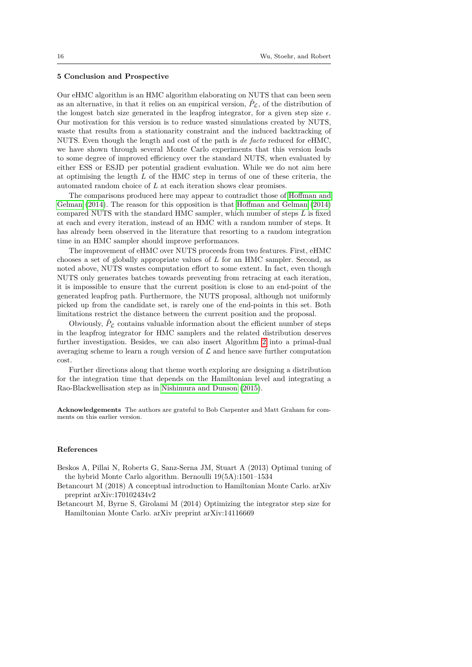#### <span id="page-15-1"></span>**5 Conclusion and Prospective**

Our eHMC algorithm is an HMC algorithm elaborating on NUTS that can been seen as an alternative, in that it relies on an empirical version,  $\hat{P}_\text{C}$ , of the distribution of the longest batch size generated in the leapfrog integrator, for a given step size  $\epsilon$ . Our motivation for this version is to reduce wasted simulations created by NUTS, waste that results from a stationarity constraint and the induced backtracking of NUTS. Even though the length and cost of the path is *de facto* reduced for eHMC, we have shown through several Monte Carlo experiments that this version leads to some degree of improved efficiency over the standard NUTS, when evaluated by either ESS or ESJD per potential gradient evaluation. While we do not aim here at optimising the length *L* of the HMC step in terms of one of these criteria, the automated random choice of *L* at each iteration shows clear promises.

The comparisons produced here may appear to contradict those of [Hoffman and](#page-16-0) [Gelman](#page-16-0) [\(2014\)](#page-16-0). The reason for this opposition is that [Hoffman and Gelman](#page-16-0) [\(2014\)](#page-16-0) compared NUTS with the standard HMC sampler, which number of steps *L* is fixed at each and every iteration, instead of an HMC with a random number of steps. It has already been observed in the literature that resorting to a random integration time in an HMC sampler should improve performances.

The improvement of eHMC over NUTS proceeds from two features. First, eHMC chooses a set of globally appropriate values of *L* for an HMC sampler. Second, as noted above, NUTS wastes computation effort to some extent. In fact, even though NUTS only generates batches towards preventing from retracing at each iteration, it is impossible to ensure that the current position is close to an end-point of the generated leapfrog path. Furthermore, the NUTS proposal, although not uniformly picked up from the candidate set, is rarely one of the end-points in this set. Both limitations restrict the distance between the current position and the proposal.

Obviously,  $\hat{P}_\mathcal{L}$  contains valuable information about the efficient number of steps in the leapfrog integrator for HMC samplers and the related distribution deserves further investigation. Besides, we can also insert Algorithm [2](#page-5-0) into a primal-dual averaging scheme to learn a rough version of  $\mathcal L$  and hence save further computation cost.

Further directions along that theme worth exploring are designing a distribution for the integration time that depends on the Hamiltonian level and integrating a Rao-Blackwellisation step as in [Nishimura and Dunson](#page-16-15) [\(2015\)](#page-16-15).

**Acknowledgements** The authors are grateful to Bob Carpenter and Matt Graham for comments on this earlier version.

## **References**

- <span id="page-15-3"></span>Beskos A, Pillai N, Roberts G, Sanz-Serna JM, Stuart A (2013) Optimal tuning of the hybrid Monte Carlo algorithm. Bernoulli 19(5A):1501–1534
- <span id="page-15-2"></span>Betancourt M (2018) A conceptual introduction to Hamiltonian Monte Carlo. arXiv preprint arXiv:170102434v2
- <span id="page-15-0"></span>Betancourt M, Byrne S, Girolami M (2014) Optimizing the integrator step size for Hamiltonian Monte Carlo. arXiv preprint arXiv:14116669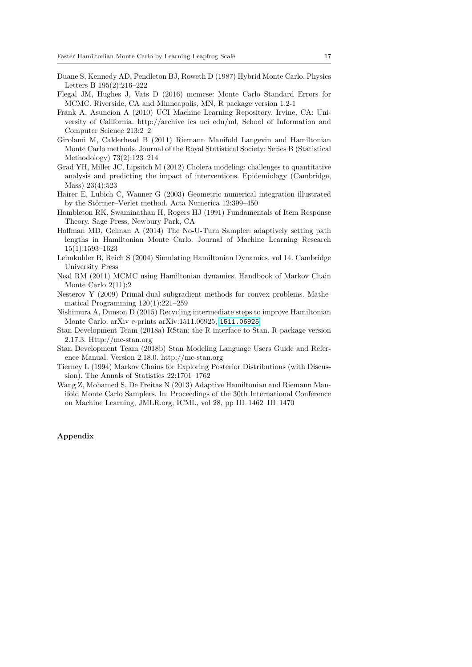- <span id="page-16-1"></span>Duane S, Kennedy AD, Pendleton BJ, Roweth D (1987) Hybrid Monte Carlo. Physics Letters B 195(2):216–222
- <span id="page-16-11"></span>Flegal JM, Hughes J, Vats D (2016) mcmcse: Monte Carlo Standard Errors for MCMC. Riverside, CA and Minneapolis, MN, R package version 1.2-1
- <span id="page-16-12"></span>Frank A, Asuncion A (2010) UCI Machine Learning Repository. Irvine, CA: University of California. http://archive ics uci edu/ml, School of Information and Computer Science 213:2–2
- <span id="page-16-4"></span>Girolami M, Calderhead B (2011) Riemann Manifold Langevin and Hamiltonian Monte Carlo methods. Journal of the Royal Statistical Society: Series B (Statistical Methodology) 73(2):123–214
- <span id="page-16-14"></span>Grad YH, Miller JC, Lipsitch M (2012) Cholera modeling: challenges to quantitative analysis and predicting the impact of interventions. Epidemiology (Cambridge, Mass) 23(4):523
- <span id="page-16-3"></span>Hairer E, Lubich C, Wanner G (2003) Geometric numerical integration illustrated by the Störmer–Verlet method. Acta Numerica 12:399–450
- <span id="page-16-13"></span>Hambleton RK, Swaminathan H, Rogers HJ (1991) Fundamentals of Item Response Theory. Sage Press, Newbury Park, CA
- <span id="page-16-0"></span>Hoffman MD, Gelman A (2014) The No-U-Turn Sampler: adaptively setting path lengths in Hamiltonian Monte Carlo. Journal of Machine Learning Research 15(1):1593–1623
- <span id="page-16-8"></span>Leimkuhler B, Reich S (2004) Simulating Hamiltonian Dynamics, vol 14. Cambridge University Press
- <span id="page-16-2"></span>Neal RM (2011) MCMC using Hamiltonian dynamics. Handbook of Markov Chain Monte Carlo 2(11):2
- <span id="page-16-6"></span>Nesterov Y (2009) Primal-dual subgradient methods for convex problems. Mathematical Programming 120(1):221–259
- <span id="page-16-15"></span>Nishimura A, Dunson D (2015) Recycling intermediate steps to improve Hamiltonian Monte Carlo. arXiv e-prints arXiv:1511.06925, <1511.06925>
- <span id="page-16-7"></span>Stan Development Team (2018a) RStan: the R interface to Stan. R package version 2.17.3. Http://mc-stan.org
- <span id="page-16-9"></span>Stan Development Team (2018b) Stan Modeling Language Users Guide and Reference Manual. Version 2.18.0. http://mc-stan.org
- <span id="page-16-10"></span>Tierney L (1994) Markov Chains for Exploring Posterior Distributions (with Discussion). The Annals of Statistics 22:1701–1762
- <span id="page-16-5"></span>Wang Z, Mohamed S, De Freitas N (2013) Adaptive Hamiltonian and Riemann Manifold Monte Carlo Samplers. In: Proceedings of the 30th International Conference on Machine Learning, JMLR.org, ICML, vol 28, pp III–1462–III–1470

## **Appendix**